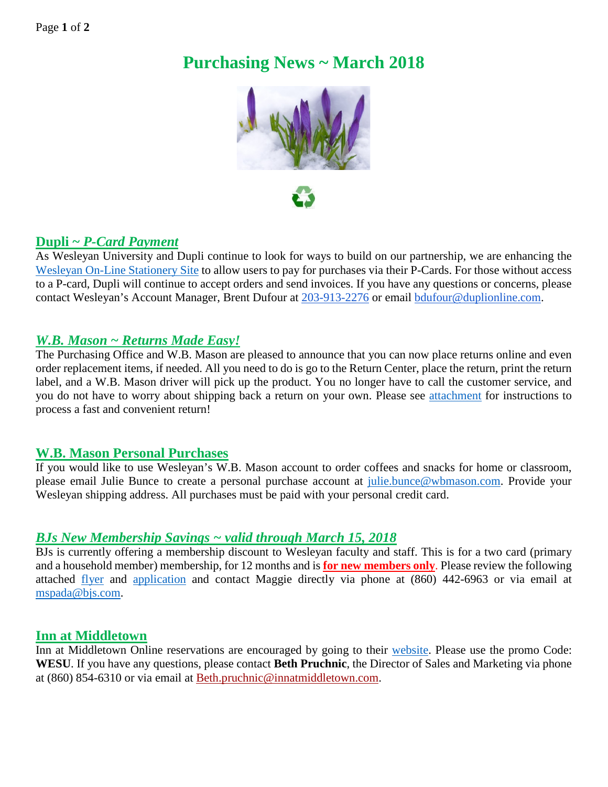# **Purchasing News ~ March 2018**



## **Dupli ~** *P-Card Payment*

As Wesleyan University and Dupli continue to look for ways to build on our partnership, we are enhancing the [Wesleyan On-Line Stationery Site](https://secure.duplionline.com/jDOL/servlet/login?ac=wes_univ) to allow users to pay for purchases via their P-Cards. For those without access to a P-card, Dupli will continue to accept orders and send invoices. If you have any questions or concerns, please contact Wesleyan's Account Manager, Brent Dufour at [203-913-2276](tel:(203)%20913-2276) or email [bdufour@duplionline.com.](mailto:bdufour@duplionline.com)

### *W.B. Mason ~ Returns Made Easy!*

The Purchasing Office and W.B. Mason are pleased to announce that you can now place returns online and even order replacement items, if needed. All you need to do is go to the Return Center, place the return, print the return label, and a W.B. Mason driver will pick up the product. You no longer have to call the customer service, and you do not have to worry about shipping back a return on your own. Please see [attachment](http://wesleyan.edu/finance/financemonthly_new/201803_WBMASONRETURNS.pdf) for instructions to process a fast and convenient return!

#### **W.B. Mason Personal Purchases**

If you would like to use Wesleyan's W.B. Mason account to order coffees and snacks for home or classroom, please email Julie Bunce to create a personal purchase account at [julie.bunce@wbmason.com.](mailto:julie.bunce@wbmason.com) Provide your Wesleyan shipping address. All purchases must be paid with your personal credit card.

#### *BJs New Membership Savings ~ valid through March 15, 2018*

BJs is currently offering a membership discount to Wesleyan faculty and staff. This is for a two card (primary and a household member) membership, for 12 months and is **for new members only**. Please review the following attached [flyer](http://wesleyan.edu/finance/financemonthly_new/201803_BJSFLYER.pdf) and [application](http://wesleyan.edu/finance/financemonthly_new/201803_BJSAPP.pdf) and contact Maggie directly via phone at (860) 442-6963 or via email at [mspada@bjs.com.](mailto:mspada@bjs.com)

#### **Inn at Middletown**

Inn at Middletown Online reservations are encouraged by going to their [website.](http://www.innatmiddletown.com/) Please use the promo Code: **WESU**. If you have any questions, please contact **Beth Pruchnic**, the Director of Sales and Marketing via phone at (860) 854-6310 or via email at [Beth.pruchnic@innatmiddletown.com.](mailto:Beth.pruchnic@innatmiddletown.com)